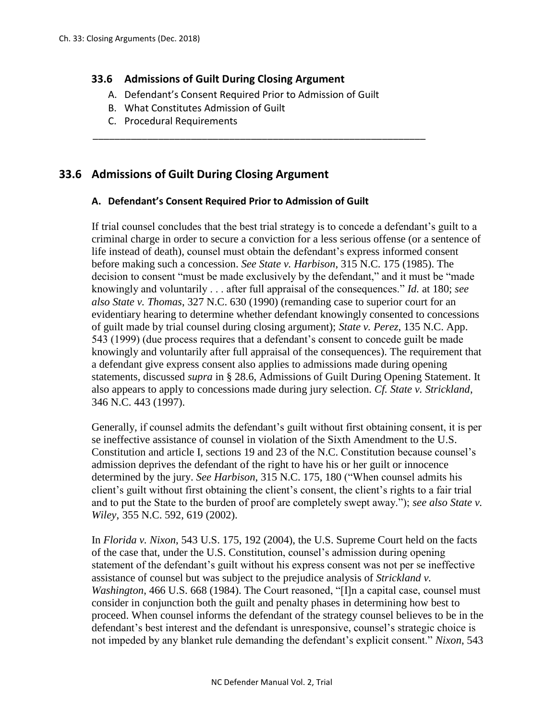## **33.6 Admissions of Guilt During Closing Argument**

A. Defendant's Consent Required Prior to Admission of Guilt

\_\_\_\_\_\_\_\_\_\_\_\_\_\_\_\_\_\_\_\_\_\_\_\_\_\_\_\_\_\_\_\_\_\_\_\_\_\_\_\_\_\_\_\_\_\_\_\_\_\_\_\_\_\_\_\_\_\_\_\_\_

- B. What Constitutes Admission of Guilt
- C. Procedural Requirements

# **33.6 Admissions of Guilt During Closing Argument**

#### **A. Defendant's Consent Required Prior to Admission of Guilt**

If trial counsel concludes that the best trial strategy is to concede a defendant's guilt to a criminal charge in order to secure a conviction for a less serious offense (or a sentence of life instead of death), counsel must obtain the defendant's express informed consent before making such a concession. *See State v. Harbison*, 315 N.C. 175 (1985). The decision to consent "must be made exclusively by the defendant," and it must be "made knowingly and voluntarily . . . after full appraisal of the consequences." *Id.* at 180; *see also State v. Thomas*, 327 N.C. 630 (1990) (remanding case to superior court for an evidentiary hearing to determine whether defendant knowingly consented to concessions of guilt made by trial counsel during closing argument); *State v. Perez*, 135 N.C. App. 543 (1999) (due process requires that a defendant's consent to concede guilt be made knowingly and voluntarily after full appraisal of the consequences). The requirement that a defendant give express consent also applies to admissions made during opening statements, discussed *supra* in § 28.6, Admissions of Guilt During Opening Statement. It also appears to apply to concessions made during jury selection. *Cf. State v. Strickland*, 346 N.C. 443 (1997).

Generally, if counsel admits the defendant's guilt without first obtaining consent, it is per se ineffective assistance of counsel in violation of the Sixth Amendment to the U.S. Constitution and article I, sections 19 and 23 of the N.C. Constitution because counsel's admission deprives the defendant of the right to have his or her guilt or innocence determined by the jury. *See Harbison*, 315 N.C. 175, 180 ("When counsel admits his client's guilt without first obtaining the client's consent, the client's rights to a fair trial and to put the State to the burden of proof are completely swept away."); *see also State v. Wiley*, 355 N.C. 592, 619 (2002).

In *Florida v. Nixon*, 543 U.S. 175, 192 (2004), the U.S. Supreme Court held on the facts of the case that, under the U.S. Constitution, counsel's admission during opening statement of the defendant's guilt without his express consent was not per se ineffective assistance of counsel but was subject to the prejudice analysis of *Strickland v. Washington*, 466 U.S. 668 (1984). The Court reasoned, "[I]n a capital case, counsel must consider in conjunction both the guilt and penalty phases in determining how best to proceed. When counsel informs the defendant of the strategy counsel believes to be in the defendant's best interest and the defendant is unresponsive, counsel's strategic choice is not impeded by any blanket rule demanding the defendant's explicit consent." *Nixon*, 543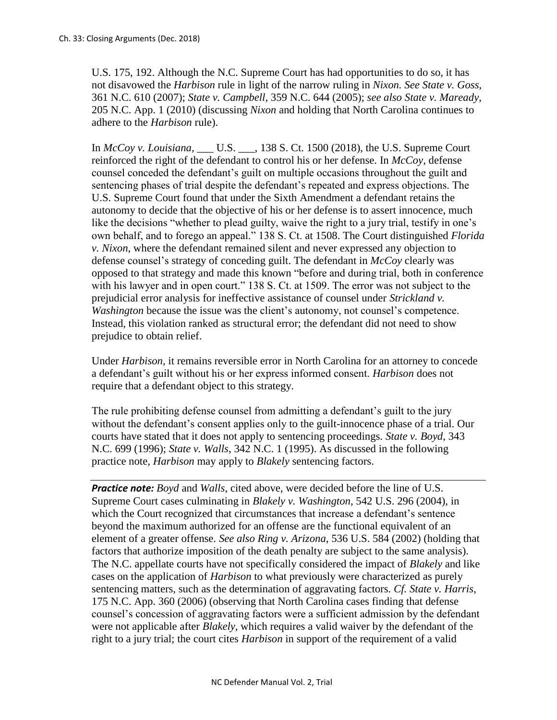U.S. 175, 192. Although the N.C. Supreme Court has had opportunities to do so, it has not disavowed the *Harbison* rule in light of the narrow ruling in *Nixon. See State v. Goss*, 361 N.C. 610 (2007); *State v. Campbell*, 359 N.C. 644 (2005); *see also State v. Maready*, 205 N.C. App. 1 (2010) (discussing *Nixon* and holding that North Carolina continues to adhere to the *Harbison* rule).

In *McCoy v. Louisiana*, \_\_\_ U.S. \_\_\_, 138 S. Ct. 1500 (2018), the U.S. Supreme Court reinforced the right of the defendant to control his or her defense. In *McCoy*, defense counsel conceded the defendant's guilt on multiple occasions throughout the guilt and sentencing phases of trial despite the defendant's repeated and express objections. The U.S. Supreme Court found that under the Sixth Amendment a defendant retains the autonomy to decide that the objective of his or her defense is to assert innocence, much like the decisions "whether to plead guilty, waive the right to a jury trial, testify in one's own behalf, and to forego an appeal." 138 S. Ct. at 1508. The Court distinguished *Florida v. Nixon*, where the defendant remained silent and never expressed any objection to defense counsel's strategy of conceding guilt. The defendant in *McCoy* clearly was opposed to that strategy and made this known "before and during trial, both in conference with his lawyer and in open court." 138 S. Ct. at 1509. The error was not subject to the prejudicial error analysis for ineffective assistance of counsel under *Strickland v. Washington* because the issue was the client's autonomy, not counsel's competence. Instead, this violation ranked as structural error; the defendant did not need to show prejudice to obtain relief.

Under *Harbison*, it remains reversible error in North Carolina for an attorney to concede a defendant's guilt without his or her express informed consent. *Harbison* does not require that a defendant object to this strategy.

The rule prohibiting defense counsel from admitting a defendant's guilt to the jury without the defendant's consent applies only to the guilt-innocence phase of a trial. Our courts have stated that it does not apply to sentencing proceedings. *State v. Boyd*, 343 N.C. 699 (1996); *State v. Walls*, 342 N.C. 1 (1995). As discussed in the following practice note, *Harbison* may apply to *Blakely* sentencing factors.

*Practice note: Boyd* and *Walls*, cited above, were decided before the line of U.S. Supreme Court cases culminating in *Blakely v. Washington*, 542 U.S. 296 (2004), in which the Court recognized that circumstances that increase a defendant's sentence beyond the maximum authorized for an offense are the functional equivalent of an element of a greater offense. *See also Ring v. Arizona*, 536 U.S. 584 (2002) (holding that factors that authorize imposition of the death penalty are subject to the same analysis). The N.C. appellate courts have not specifically considered the impact of *Blakely* and like cases on the application of *Harbison* to what previously were characterized as purely sentencing matters, such as the determination of aggravating factors. *Cf. State v. Harris*, 175 N.C. App. 360 (2006) (observing that North Carolina cases finding that defense counsel's concession of aggravating factors were a sufficient admission by the defendant were not applicable after *Blakely*, which requires a valid waiver by the defendant of the right to a jury trial; the court cites *Harbison* in support of the requirement of a valid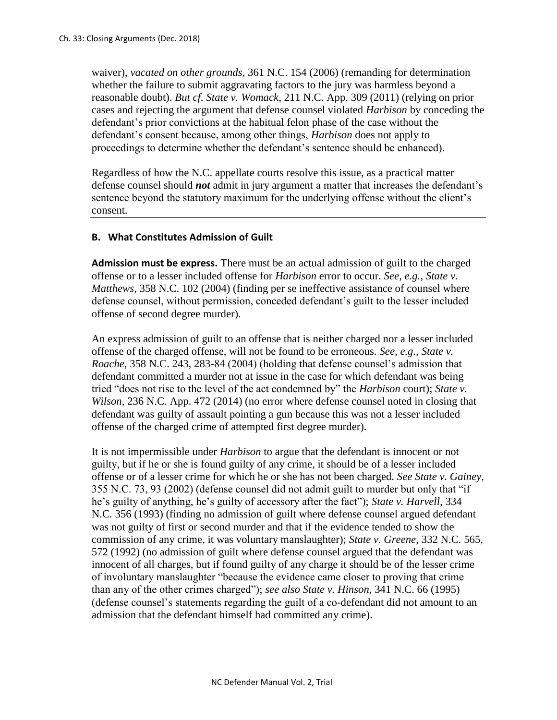waiver), *vacated on other grounds*, 361 N.C. 154 (2006) (remanding for determination whether the failure to submit aggravating factors to the jury was harmless beyond a reasonable doubt). *But cf. State v. Womack*, 211 N.C. App. 309 (2011) (relying on prior cases and rejecting the argument that defense counsel violated *Harbison* by conceding the defendant's prior convictions at the habitual felon phase of the case without the defendant's consent because, among other things, *Harbison* does not apply to proceedings to determine whether the defendant's sentence should be enhanced).

Regardless of how the N.C. appellate courts resolve this issue, as a practical matter defense counsel should *not* admit in jury argument a matter that increases the defendant's sentence beyond the statutory maximum for the underlying offense without the client's consent.

## **B. What Constitutes Admission of Guilt**

**Admission must be express.** There must be an actual admission of guilt to the charged offense or to a lesser included offense for *Harbison* error to occur. *See, e.g., State v. Matthews*, 358 N.C. 102 (2004) (finding per se ineffective assistance of counsel where defense counsel, without permission, conceded defendant's guilt to the lesser included offense of second degree murder).

An express admission of guilt to an offense that is neither charged nor a lesser included offense of the charged offense, will not be found to be erroneous. *See, e.g., State v. Roache*, 358 N.C. 243, 283-84 (2004) (holding that defense counsel's admission that defendant committed a murder not at issue in the case for which defendant was being tried "does not rise to the level of the act condemned by" the *Harbison* court); *State v. Wilson, 236 N.C. App. 472 (2014)* (no error where defense counsel noted in closing that defendant was guilty of assault pointing a gun because this was not a lesser included offense of the charged crime of attempted first degree murder).

It is not impermissible under *Harbison* to argue that the defendant is innocent or not guilty, but if he or she is found guilty of any crime, it should be of a lesser included offense or of a lesser crime for which he or she has not been charged. *See State v. Gainey*, 355 N.C. 73, 93 (2002) (defense counsel did not admit guilt to murder but only that "if he's guilty of anything, he's guilty of accessory after the fact"); *State v. Harvell*, 334 N.C. 356 (1993) (finding no admission of guilt where defense counsel argued defendant was not guilty of first or second murder and that if the evidence tended to show the commission of any crime, it was voluntary manslaughter); *State v. Greene*, 332 N.C. 565, 572 (1992) (no admission of guilt where defense counsel argued that the defendant was innocent of all charges, but if found guilty of any charge it should be of the lesser crime of involuntary manslaughter "because the evidence came closer to proving that crime than any of the other crimes charged"); *see also State v. Hinson*, 341 N.C. 66 (1995) (defense counsel's statements regarding the guilt of a co-defendant did not amount to an admission that the defendant himself had committed any crime).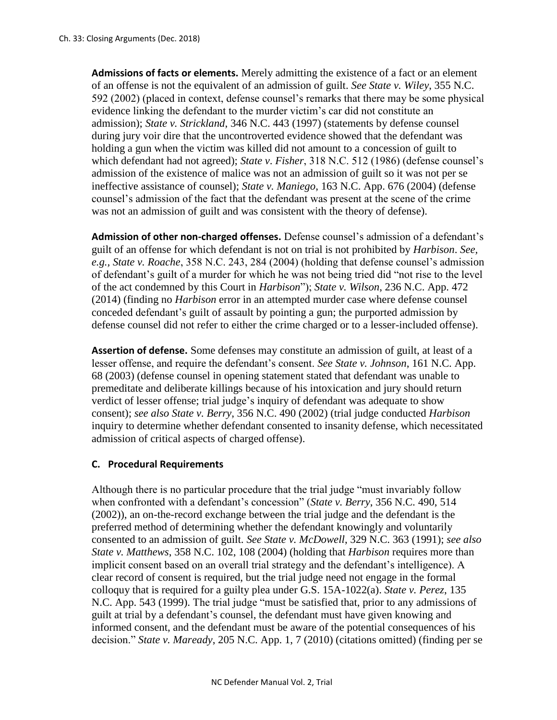**Admissions of facts or elements.** Merely admitting the existence of a fact or an element of an offense is not the equivalent of an admission of guilt. *See State v. Wiley*, 355 N.C. 592 (2002) (placed in context, defense counsel's remarks that there may be some physical evidence linking the defendant to the murder victim's car did not constitute an admission); *State v. Strickland*, 346 N.C. 443 (1997) (statements by defense counsel during jury voir dire that the uncontroverted evidence showed that the defendant was holding a gun when the victim was killed did not amount to a concession of guilt to which defendant had not agreed); *State v*. *Fisher*, 318 N.C. 512 (1986) (defense counsel's admission of the existence of malice was not an admission of guilt so it was not per se ineffective assistance of counsel); *State v. Maniego*, 163 N.C. App. 676 (2004) (defense counsel's admission of the fact that the defendant was present at the scene of the crime was not an admission of guilt and was consistent with the theory of defense).

**Admission of other non-charged offenses.** Defense counsel's admission of a defendant's guilt of an offense for which defendant is not on trial is not prohibited by *Harbison*. *See, e.g., State v. Roache*, 358 N.C. 243, 284 (2004) (holding that defense counsel's admission of defendant's guilt of a murder for which he was not being tried did "not rise to the level of the act condemned by this Court in *Harbison*"); *State v. Wilson*, 236 N.C. App. 472 (2014) (finding no *Harbison* error in an attempted murder case where defense counsel conceded defendant's guilt of assault by pointing a gun; the purported admission by defense counsel did not refer to either the crime charged or to a lesser-included offense).

**Assertion of defense.** Some defenses may constitute an admission of guilt, at least of a lesser offense, and require the defendant's consent. *See State v. Johnson*, 161 N.C. App. 68 (2003) (defense counsel in opening statement stated that defendant was unable to premeditate and deliberate killings because of his intoxication and jury should return verdict of lesser offense; trial judge's inquiry of defendant was adequate to show consent); *see also State v. Berry*, 356 N.C. 490 (2002) (trial judge conducted *Harbison*  inquiry to determine whether defendant consented to insanity defense, which necessitated admission of critical aspects of charged offense).

#### **C. Procedural Requirements**

Although there is no particular procedure that the trial judge "must invariably follow when confronted with a defendant's concession" (*State v. Berry*, 356 N.C. 490, 514 (2002)), an on-the-record exchange between the trial judge and the defendant is the preferred method of determining whether the defendant knowingly and voluntarily consented to an admission of guilt. *See State v. McDowell*, 329 N.C. 363 (1991); *see also State v. Matthews*, 358 N.C. 102, 108 (2004) (holding that *Harbison* requires more than implicit consent based on an overall trial strategy and the defendant's intelligence). A clear record of consent is required, but the trial judge need not engage in the formal colloquy that is required for a guilty plea under G.S. 15A-1022(a). *State v. Perez*, 135 N.C. App. 543 (1999). The trial judge "must be satisfied that, prior to any admissions of guilt at trial by a defendant's counsel, the defendant must have given knowing and informed consent, and the defendant must be aware of the potential consequences of his decision." *State v. Maready*, 205 N.C. App. 1, 7 (2010) (citations omitted) (finding per se